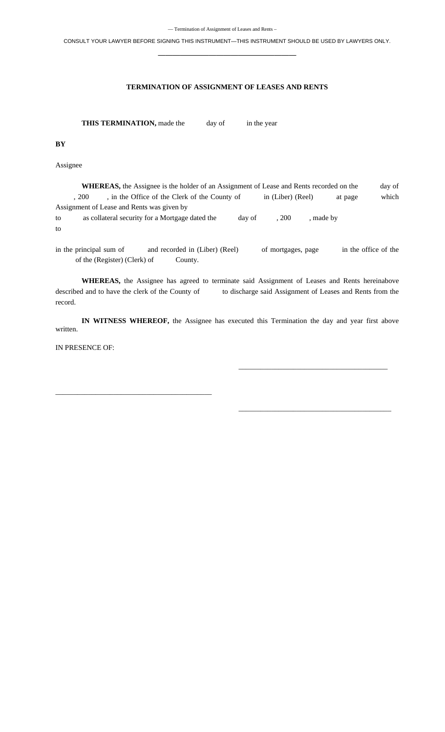CONSULT YOUR LAWYER BEFORE SIGNING THIS INSTRUMENT—THIS INSTRUMENT SHOULD BE USED BY LAWYERS ONLY. **———————————————————** 

## **TERMINATION OF ASSIGNMENT OF LEASES AND RENTS**

**THIS TERMINATION,** made the day of in the year

**BY** 

Assignee

WHEREAS, the Assignee is the holder of an Assignment of Lease and Rents recorded on the day of , 200 , in the Office of the Clerk of the County of in (Liber) (Reel) at page which Assignment of Lease and Rents was given by to as collateral security for a Mortgage dated the day of , 200 , made by

to

in the principal sum of and recorded in (Liber) (Reel) of mortgages, page in the office of the of the (Register) (Clerk) of County.

**WHEREAS,** the Assignee has agreed to terminate said Assignment of Leases and Rents hereinabove described and to have the clerk of the County of to discharge said Assignment of Leases and Rents from the record.

**IN WITNESS WHEREOF,** the Assignee has executed this Termination the day and year first above written.

 $\overline{\phantom{a}}$  , and the contract of the contract of the contract of the contract of the contract of the contract of the contract of the contract of the contract of the contract of the contract of the contract of the contrac

 $\frac{1}{\sqrt{2}}$  , and the state of the state of the state of the state of the state of the state of the state of the state of the state of the state of the state of the state of the state of the state of the state of the sta

IN PRESENCE OF:

\_\_\_\_\_\_\_\_\_\_\_\_\_\_\_\_\_\_\_\_\_\_\_\_\_\_\_\_\_\_\_\_\_\_\_\_\_\_\_\_\_\_\_